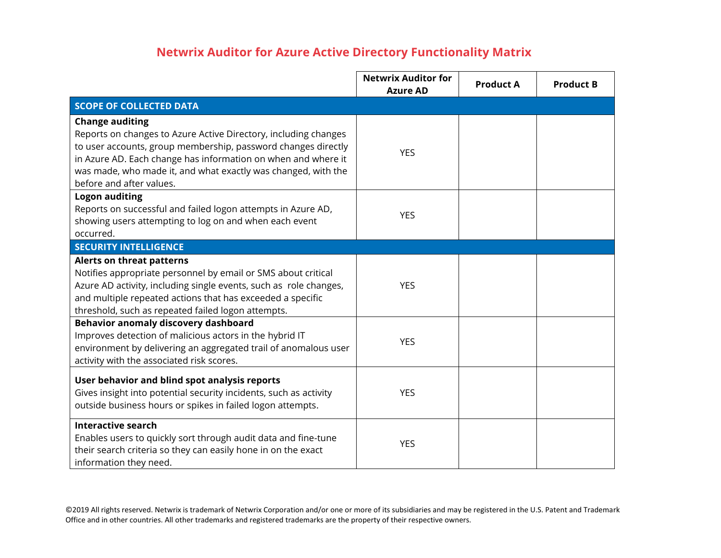## **Netwrix Auditor for Azure Active Directory Functionality Matrix**

|                                                                                                                                                                                                                                                                                                                          | <b>Netwrix Auditor for</b><br><b>Azure AD</b> | <b>Product A</b> | <b>Product B</b> |
|--------------------------------------------------------------------------------------------------------------------------------------------------------------------------------------------------------------------------------------------------------------------------------------------------------------------------|-----------------------------------------------|------------------|------------------|
| <b>SCOPE OF COLLECTED DATA</b>                                                                                                                                                                                                                                                                                           |                                               |                  |                  |
| <b>Change auditing</b><br>Reports on changes to Azure Active Directory, including changes<br>to user accounts, group membership, password changes directly<br>in Azure AD. Each change has information on when and where it<br>was made, who made it, and what exactly was changed, with the<br>before and after values. | <b>YES</b>                                    |                  |                  |
| <b>Logon auditing</b><br>Reports on successful and failed logon attempts in Azure AD,<br>showing users attempting to log on and when each event<br>occurred.                                                                                                                                                             | <b>YES</b>                                    |                  |                  |
| <b>SECURITY INTELLIGENCE</b>                                                                                                                                                                                                                                                                                             |                                               |                  |                  |
| <b>Alerts on threat patterns</b><br>Notifies appropriate personnel by email or SMS about critical<br>Azure AD activity, including single events, such as role changes,<br>and multiple repeated actions that has exceeded a specific<br>threshold, such as repeated failed logon attempts.                               | <b>YES</b>                                    |                  |                  |
| Behavior anomaly discovery dashboard<br>Improves detection of malicious actors in the hybrid IT<br>environment by delivering an aggregated trail of anomalous user<br>activity with the associated risk scores.                                                                                                          | <b>YES</b>                                    |                  |                  |
| User behavior and blind spot analysis reports<br>Gives insight into potential security incidents, such as activity<br>outside business hours or spikes in failed logon attempts.                                                                                                                                         | <b>YES</b>                                    |                  |                  |
| <b>Interactive search</b><br>Enables users to quickly sort through audit data and fine-tune<br>their search criteria so they can easily hone in on the exact<br>information they need.                                                                                                                                   | <b>YES</b>                                    |                  |                  |

©2019 All rights reserved. Netwrix is trademark of Netwrix Corporation and/or one or more of its subsidiaries and may be registered in the U.S. Patent and Trademark Office and in other countries. All other trademarks and registered trademarks are the property of their respective owners.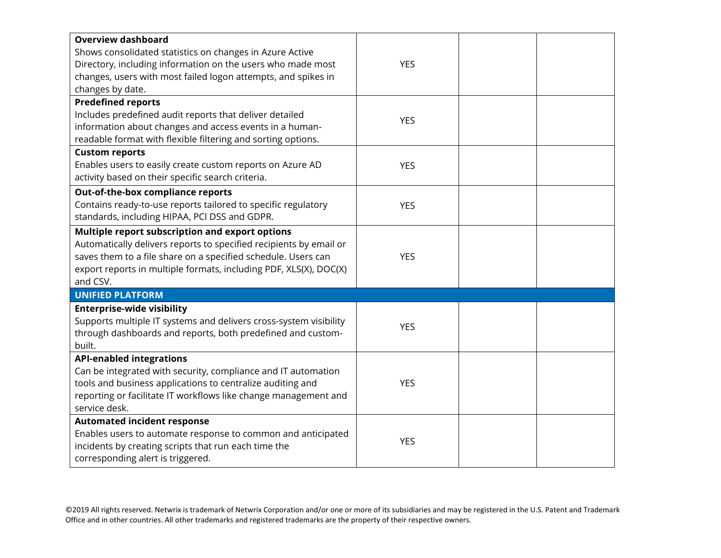| <b>Overview dashboard</b><br>Shows consolidated statistics on changes in Azure Active<br>Directory, including information on the users who made most<br>changes, users with most failed logon attempts, and spikes in<br>changes by date.                               | <b>YES</b> |  |
|-------------------------------------------------------------------------------------------------------------------------------------------------------------------------------------------------------------------------------------------------------------------------|------------|--|
| <b>Predefined reports</b><br>Includes predefined audit reports that deliver detailed<br>information about changes and access events in a human-<br>readable format with flexible filtering and sorting options.                                                         | <b>YES</b> |  |
| <b>Custom reports</b><br>Enables users to easily create custom reports on Azure AD<br>activity based on their specific search criteria.                                                                                                                                 | <b>YES</b> |  |
| Out-of-the-box compliance reports<br>Contains ready-to-use reports tailored to specific regulatory<br>standards, including HIPAA, PCI DSS and GDPR.                                                                                                                     | <b>YES</b> |  |
| Multiple report subscription and export options<br>Automatically delivers reports to specified recipients by email or<br>saves them to a file share on a specified schedule. Users can<br>export reports in multiple formats, including PDF, XLS(X), DOC(X)<br>and CSV. | <b>YES</b> |  |
| <b>UNIFIED PLATFORM</b>                                                                                                                                                                                                                                                 |            |  |
| <b>Enterprise-wide visibility</b><br>Supports multiple IT systems and delivers cross-system visibility<br>through dashboards and reports, both predefined and custom-<br>built.                                                                                         | <b>YES</b> |  |
| <b>API-enabled integrations</b>                                                                                                                                                                                                                                         |            |  |
| Can be integrated with security, compliance and IT automation<br>tools and business applications to centralize auditing and<br>reporting or facilitate IT workflows like change management and<br>service desk.                                                         | <b>YES</b> |  |
| <b>Automated incident response</b><br>Enables users to automate response to common and anticipated<br>incidents by creating scripts that run each time the<br>corresponding alert is triggered.                                                                         | <b>YES</b> |  |